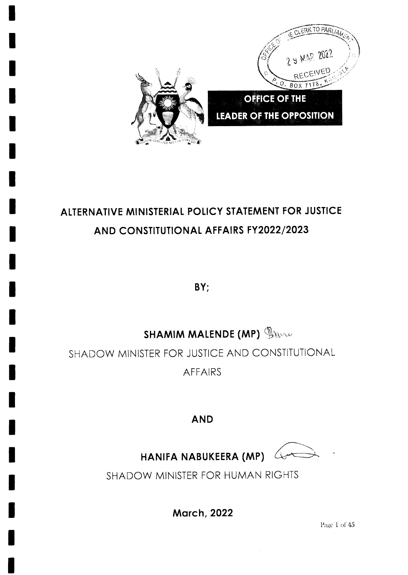

# ALTERNATIVE MINISTERIAL POLICY STATEMENT FOR JUSTICE AND CONSTITUTIONAL AFFAIRS FY2022/2023

BY;

# **SHAMIM MALENDE (MP)** Dance

SHADOW MINISTER FOR JUSTICE AND CONSTITUTIONAL **AFFAIRS** 

# **AND**

 $\overline{\mathcal{F}}$ مبن

HANIFA NABUKEERA (MP)

SHADOW MINISTER FOR HUMAN RIGHTS

**March, 2022** 

Page 1 of 45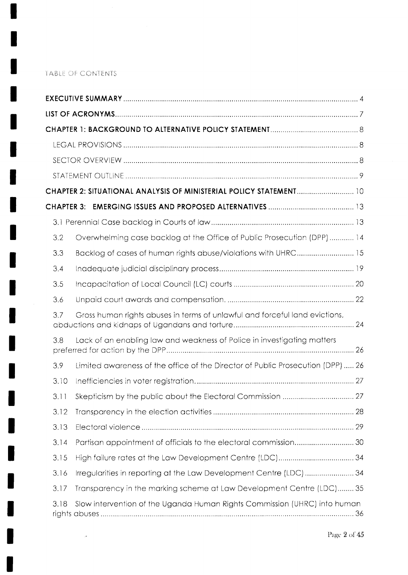## TABLE OF CONTENTS

 $\label{eq:3.1} \begin{array}{ll} \mathcal{O} & \mathcal{O} & \mathcal{O} \\ \mathcal{O} & \mathcal{O} & \mathcal{O} \end{array}$ 

| 3.2  | Overwhelming case backlog at the Office of Public Prosecution (DPP) 14          |  |
|------|---------------------------------------------------------------------------------|--|
| 3.3  | Backlog of cases of human rights abuse/violations with UHRC 15                  |  |
| 3.4  |                                                                                 |  |
| 3.5  |                                                                                 |  |
| 3.6  |                                                                                 |  |
| 3.7  | Gross human rights abuses in terms of unlawful and forceful land evictions,     |  |
| 3.8  | Lack of an enabling law and weakness of Police in investigating matters         |  |
| 3.9  | Limited awareness of the office of the Director of Public Prosecution (DPP)  26 |  |
| 3.10 |                                                                                 |  |
| 3.11 |                                                                                 |  |
| 3.12 |                                                                                 |  |
| 3.13 |                                                                                 |  |
| 3.14 | Partisan appointment of officials to the electoral commission 30                |  |
| 3.15 |                                                                                 |  |
| 3.16 | Irregularities in reporting at the Law Development Centre (LDC) 34              |  |
| 3.17 | Transparency in the marking scheme at Law Development Centre (LDC) 35           |  |
| 3.18 | Slow intervention of the Uganda Human Rights Commission (UHRC) into human       |  |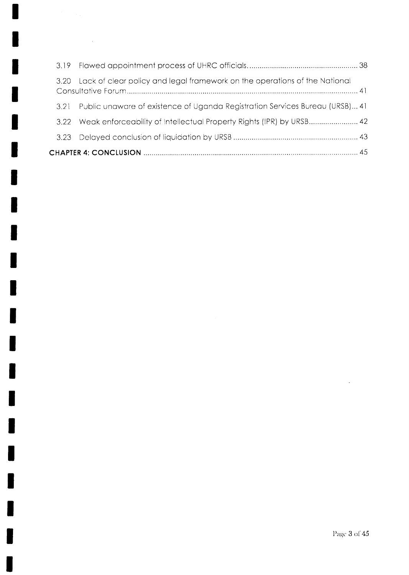| 3.20 | Lack of clear policy and legal framework on the operations of the National   |  |  |
|------|------------------------------------------------------------------------------|--|--|
| 3.21 | Public unaware of existence of Uganda Registration Services Bureau (URSB) 41 |  |  |
| 3.22 | Weak enforceability of Intellectual Property Rights (IPR) by URSB 42         |  |  |
|      |                                                                              |  |  |
|      |                                                                              |  |  |

 $\mathcal{A}^{\pm}$ 

 $\ddot{\phantom{a}}$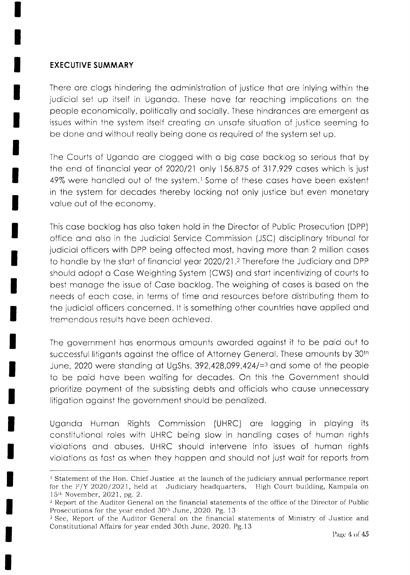#### EXECUTIVE SUMMARY

There ore clogs hindering the odministrotion of justice thot ore inlying within the judiciol set up itself in Ugondo. These hove for reoching implicotions on the people economicolly, politicolly ond sociolly. These hindronces ore emergeni os issues within the system itself creoting on unsofe situotion of justice seeming to be done ond without reolly being done os required of the system set up.

The Courts of Ugondo ore clogged wiih o big cose bocklog so serious thot by the end of financial year of 2020/21 only 156,875 of 317,929 cases which is just 49% were handled out of the system.<sup>1</sup> Some of these cases have been existent in the system for decodes thereby locking not only justice but even monetory value out of the economy.

Ihis cose bocklog hos olso token hold in the Director of Public Prosecution (DPP) office and also in the Judicial Service Commission (JSC) disciplinary tribunal for judicial officers with DPP being affected most, having more than 2 million cases to handle by the start of financial year 2020/21.<sup>2</sup> Therefore the Judiciary and DPP should odopt o Cose Weighting System (CWS) ond stort incentivizing of courts to best manage the issue of Case backlog. The weighing of cases is based on the needs of eoch cose, in terms of time ond resources before distributing them to the judiciol officers concerned. lt is something other countries hove opplied ond tremendous results hove been ochieved.

The government hos enormous omounts oworded ogoinst it to be poid out to successful litigants against the office of Attorney General. These amounts by 30<sup>th</sup> June, 2020 were standing at UgShs.  $392,428,099,424/73$  and some of the people to be poid hove been woiting for decodes. On this the Government should prioritize poyment of the subsisting debts ond officiols who couse unnecessory litigotion ogoinst the government should be penolized.

Ugondo Humon Rights Commission (UHRC) ore logging in ploying its constitutionol roles with UHRC being slow in hondling coses of humon rights violotions ond obuses. UHRC should intervene into issues of humon rights violations as fast as when they happen and should not just wait for reports from

<sup>&</sup>lt;sup>1</sup> Statement of the Hon. Chief Justice at the launch of the judiciary annual performance report for the  $F/Y$  2020/2021, held at Judiciary headquarters, High Court building, Kampala on l5th November,2O2l, pg. 2.

 $2$  Report of the Auditor General on the financial statements of the office of the Director of Public Prosecutions for the year ended 30<sup>th</sup> June, 2020. Pg. 13

<sup>&</sup>lt;sup>3</sup> See, Report of the Auditor General on the financial statements of Ministry of Justice and Constitutional Affairs for year ended 30th June, 2020. Pg.13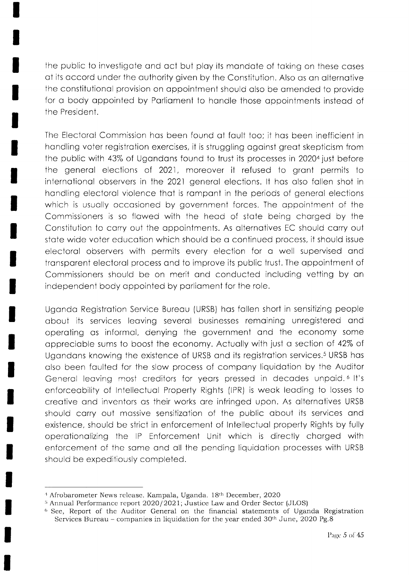the public to investigote ond oci but ploy its mondote of toking on these coses of its occord under the outhority given by the Constitution. Also os on olternotive the constitutionol provision on oppointment should olso be omended to provide for a body appointed by Parliament to handle those appointments instead of the President.

The Electorol Commission hos been found of foult too; it hos been inefficient in hondling voter registrotion exercises, it is struggling ogoinst greot skepticism from the public with 43% of Ugondons found to trust its processes in 20204 just before the general elections of 2021, moreover it refused to grant permits to internotionol observers in the 2021 generol elections. lt hos olso follen shot in hondling electorol violence thot is rompont in ihe periods of generol elections which is usually occasioned by government forces. The appointment of the Commissioners is so flowed with the heod of stote being chorged by the Constitution to carry out the appointments. As alternatives EC should carry out stote wide voter educotion which should be o continued process, it should issue electorol observers with permits every election for o well supervised ond transparent electoral process and to improve its public trust. The appointment of Commissioners should be on merit and conducted including vetting by an independent body appointed by parliament for the role.

Ugondo Registrotion Service Bureou (URSB) hos follen short in sensitizing people obout its services leoving severol businesses remoining unregistered ond operoting os Informol, denying the government ond the economy some opprecioble sums to boosi the economy. Actuolly with just o section of 42% of Ugandans knowing the existence of URSB and its registration services.<sup>5</sup> URSB has olso been foulted for the slow process of compony liquidoiion by the Auditor General leaving most creditors for years pressed in decades unpaid.<sup>6</sup> It's enforceobility of Intellectuol Property Rights (lPR) is weok leoding to losses to creotive ond inventors os their works ore infringed upon. As olternotives URSB should carry out massive sensitization of the public about its services and existence, should be strict in enforcement of lntellectuol properly Rights by fully operotionolizing the lP Enforcement Unit which is directly chorged with enforcement of the some ond oll the pending liquidotion processes with URSB should be expeditiously completed.

<sup>&</sup>lt;sup>4</sup> Afrobarometer News release. Kampala, Uganda. 18th December, 2020

<sup>&</sup>lt;sup>5</sup> Annual Performance report 2020/2021; Justice Law and Order Sector (JLOS)

 $6$  See, Report of the Auditor General on the financial statements of Uganda Registration Services Bureau – companies in liquidation for the year ended  $30<sup>th</sup>$  June, 2020 Pg.8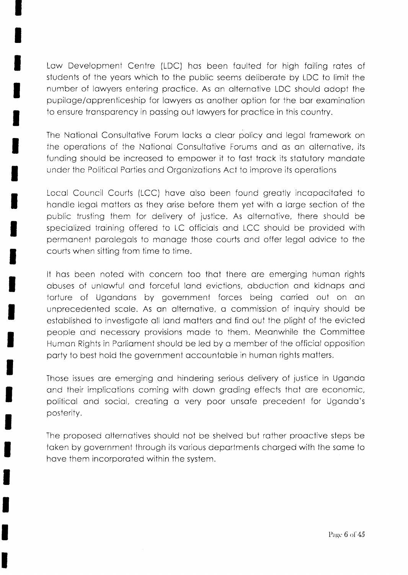Low Development Centre (LDC) hos been foulted for high foiling rotes of students of the yeors which to the public seems deliberote by LDC to limii the number of lowyers entering proctice. As on olternotive LDC should odopt the pupiloge/opprenticeship for lowyers os onother option for the bor exominotion to ensure transparency in passing out lawyers for practice in this country.

The Notionol Consultotive Forum locks o cleor policy ond legol fromework on the operations of the National Consultative Forums and as an alternative, its funding should be increased to empower it to fast track its statutory mandate under the Politicol Porties ond Orgonizotions Act to improve its operotions

Locol Council Courts (LCC) hove olso been found greotly incopocitoted to handle legal matters as they arise before them yet with a large section of the public trusting them for delivery of justice. As olternotive, there should be specialized training offered to LC officials and LCC should be provided with permoneni porolegols to monoge those courts ond offer Iegol odvice to the courts when sitting from time to time.

It hos been noted with concern too thot ihere ore emerging humon rights obuses of unlowful ond forceful lond evictions, obduction ond kidnops ond torture of Ugandans by government forces being carried out on an unprecedented scole. As on olternotive, o commission of inquiry should be established to investigate all land matters and find out the plight of the evicted people ond necessory provisions mode to them. Meonwhile ihe Committee Humon Rights in Porlioment should be Ied by o member of the officiol opposition porty to besi hold ihe government occountoble in humon rights motlers.

Those issues ore emerging ond hindering serious delivery of justice in Ugondo and their implications coming with down grading effects that are economic, politicol ond sociol, creoting o very poor unsofe precedent for Ugondo's posterity.

The proposed oliernotives should not be shelved but rother prooctive steps be token by government through its vorious deportments chorged with the some to hove them incorporoted within the system.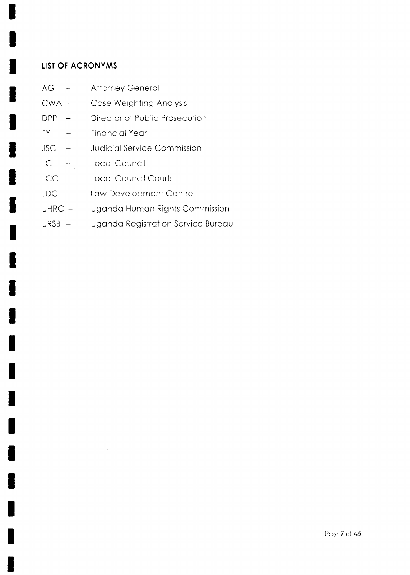## **LIST OF ACRONYMS**

- AG **Attorney General**  $\sim$
- Case Weighting Analysis  $CWA -$
- Director of Public Prosecution  $DPP -$
- **FY Financial Year** L.
- **Judicial Service Commission JSC**  $\overline{\phantom{0}}$
- Local Council LC  $\overline{\phantom{a}}$
- LCC **Local Council Courts**  $\overline{\phantom{a}}$
- Law Development Centre LDC  $\mathbb{Z}$
- $UHRC -$ Uganda Human Rights Commission
- Uganda Registration Service Bureau URSB -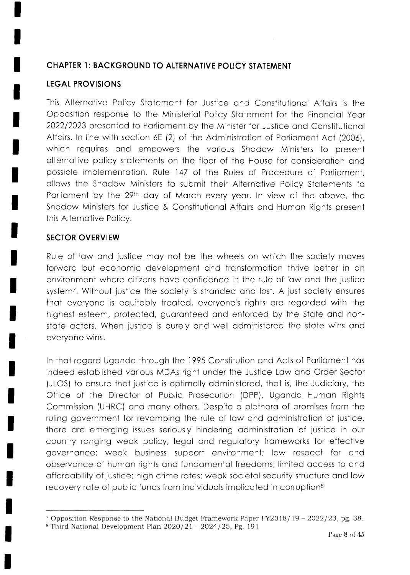### CHAPTER I: BACKGROUND TO ALTERNATIVE POLICY STATEMENT

#### LEGAL PROVISIONS

This Alternotive Policy Stotement for Justice ond Constitutionol Affoirs is the Opposition response to the A/inisteriol Policy Stotement for the Finonciol Yeor 202212023 presented to Porlioment by the Minister for Justice ond Constituiionol Affairs. In line with section 6E (2) of the Administration of Parliament Act (2006), which requires and empowers the various Shadow Ministers to present olternotive policy stotements on the floor of the House for considerotion ond possible implementotion. Rule 147 of the Rules of Procedure of Porlioment, ollows the Shodow Ministers to submit their Alternotive Policy Stotements to Parliament by the 29<sup>th</sup> day of March every year. In view of the above, the Shadow Ministers for Justice & Constitutional Affairs and Human Rights present this Alternotive Policy.

#### SECTOR OVERVIEW

Rule of law and justice may not be the wheels on which the society moves forward but economic development and transformation thrive better in an environment where citizens have confidence in the rule of law and the justice system<sup>7</sup>. Without justice the society is stranded and lost. A just society ensures thot everyone is equitobly treoted, everyone's rights ore regorded with the highest esteem, protected, guaranteed and enforced by the State and nonstate actors. When justice is purely and well administered the state wins and everyone wins.

In thot regord Ugondo through the 1995 Constitution ond Acts of Porlioment hos indeed estoblished vorious MDAs right under the Justice Low ond Order Sector (JLOS) io ensure thot justice is optimolly odministered, thot is, the Judlciory, the Office of the Director of Public Prosecution (DPP), Ugondo Humon Rights Commission (UHRC) ond mony others. Despite o plethoro of promises from the ruling government for revamping the rule of law and administration of justice, there are emerging issues seriously hindering administration of justice in our country ronging weok policy, legol ond regulotory fromeworks for effective governance; weak business support environment; low respect for and observonce of humon rights ond fundomentol freedoms; limited occess to ond offordobility of justice; high crime rotes; weok societol security structure ond low recovery rate of public funds from individuals implicated in corruption<sup>8</sup>

<sup>&</sup>lt;sup>7</sup> Opposition Responsc to the National Budget Framework Paper FY2018/19 - 2022/23, pg. 38.

 $^8$  Third National Development Plan  $2020/21 - 2024/25$ , Pg. 191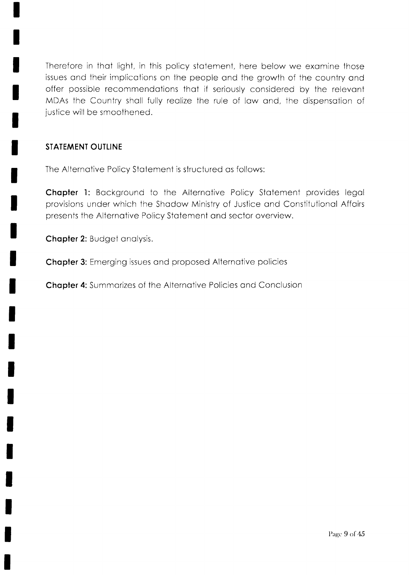Therefore in thot light, in this policy stotement, here below we exomine those issues and their implications on the people and the growth of the country and offer possible recommendotions thot if seriously considered by the relevont A/DAs the Country sholl fully reolize the rule of low ond, the dispensotion of justice will be smoothened.

# STATEMENT OUTLINE

The Alternative Policy Statement is structured as follows:

**Chapter 1:** Background to the Alternative Policy Statement provides legal provisions under which the Shodow Ministry of Justice ond Constitutionol Affoirs presents the Alternotive Policy Stotement ond sector overview.

Chapter 2: Budget analysis.

Chapter 3: Emerging issues and proposed Alternative policies

**Chapter 4:** Summarizes of the Alternative Policies and Conclusion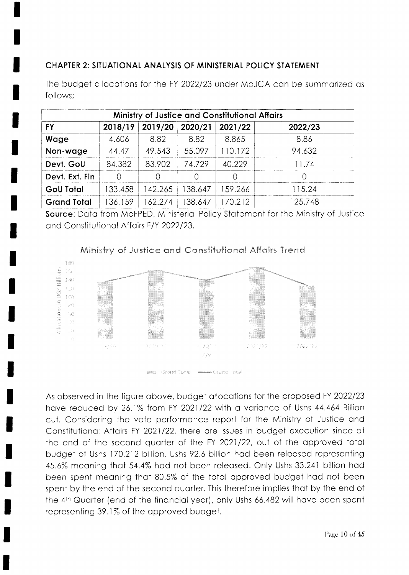# CHAPTER 2: SITUATIONAL ANALYSIS OF MINISTERIAL POLICY STATEMENT

The budget allocations for the FY 2022/23 under MoJCA can be summarized as follows;

| <b>Ministry of Justice and Constitutional Affairs</b> |         |         |         |         |         |  |  |
|-------------------------------------------------------|---------|---------|---------|---------|---------|--|--|
| <b>FY</b>                                             | 2018/19 | 2019/20 | 2020/21 | 2021/22 | 2022/23 |  |  |
| Wage                                                  | 4.606   | 8.82    | 8.82    | 8.865   | 8.86    |  |  |
| Non-wage                                              | 44.47   | 49.543  | 55.097  | 110.172 | 94.632  |  |  |
| Devt. GoU                                             | 84.382  | 83.902  | 74.729  | 40.229  | 11.74   |  |  |
| Devt. Ext. Fin                                        |         |         | Ω       |         |         |  |  |
| <b>GoU Total</b>                                      | 133.458 | 42.265  | 38.647  | 159.266 | 115.24  |  |  |
| <b>Grand Total</b>                                    | 136.159 | 62.274  | 38.647  | 70.212  | 125.748 |  |  |

Source: Data from MoFPED, Ministerial Policy Statement for the Ministry of Justice and Constitutional Affairs F/Y 2022/23.



# Ministry of Justice and Constitutional Affairs Trend

www.Grand Total - - - - - - Grand Total

As observed in the figure above, budget allocations for the proposed FY 2022/23 have reduced by 26.1% from FY 2021/22 with a variance of Ushs 44.464 Billion cut. Considering the vote performance report for the Ministry of Justice and Constitutional Affairs FY 2021/22, there are issues in budget execution since at the end of the second quarter of the FY 2021/22, out of the approved total budget of Ushs 170.212 billion, Ushs 92.6 billion had been released representing 45.6% meaning that 54.4% had not been released. Only Ushs 33.241 billion had been spent meaning that 80.5% of the total approved budget had not been spent by the end of the second quarter. This therefore implies that by the end of the 4th Quarter (end of the financial year), only Ushs 66.482 will have been spent representing 39.1% of the approved budget.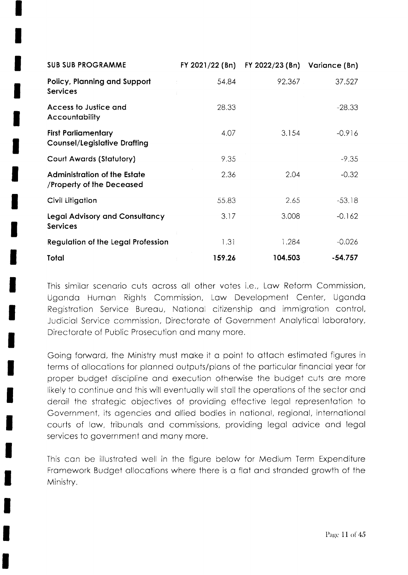| <b>SUB SUB PROGRAMME</b>                                          | FY 2021/22 (Bn) | FY 2022/23 (Bn) | Variance (Bn) |
|-------------------------------------------------------------------|-----------------|-----------------|---------------|
| <b>Policy, Planning and Support</b><br><b>Services</b>            | 54.84           | 92.367          | 37.527        |
| Access to Justice and<br><b>Accountability</b>                    | 28.33           |                 | $-28.33$      |
| <b>First Parliamentary</b><br><b>Counsel/Legislative Drafting</b> | 4.07            | 3.154           | $-0.916$      |
| <b>Court Awards (Statutory)</b>                                   | 9.35            |                 | $-9.35$       |
| <b>Administration of the Estate</b><br>/Property of the Deceased  | 2.36            | 2.04            | $-0.32$       |
| Civil Litigation                                                  | 55.83           | 2.65            | $-53.18$      |
| <b>Legal Advisory and Consultancy</b><br><b>Services</b>          | 3.17            | 3.008           | $-0.162$      |
| <b>Regulation of the Legal Profession</b>                         | 1.31            | 1.284           | $-0.026$      |
| Total                                                             | 159.26          | 104.503         | $-54.757$     |

This similar scenario cuts across all other votes i.e., Law Reform Commission, Uganda Human Rights Commission, Law Development Center, Uganda Registration Service Bureau, National citizenship and immigration control, Judicial Service commission, Directorate of Government Analytical laboratory, Directorate of Public Prosecution and many more.

Going forward, the Ministry must make it a point to attach estimated figures in terms of allocations for planned outputs/plans of the particular financial year for proper budget discipline and execution otherwise the budget cuts are more likely to continue and this will eventually will stall the operations of the sector and derail the strategic objectives of providing effective legal representation to Government, its agencies and allied bodies in national, regional, international courts of law, tribunals and commissions, providing legal advice and legal services to government and many more.

This can be illustrated well in the figure below for Medium Term Expenditure Framework Budget allocations where there is a flat and stranded growth of the Ministry.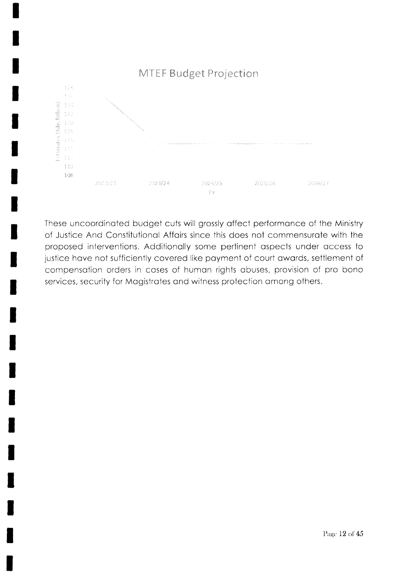

These uncoordinated budget cuts will grossly affect performance of the Ministry of Justice And Constitutional Affairs since this does not commensurate with the proposed interventions. Additionally some pertinent aspects under access to justice have not sufficiently covered like payment of court awards, settlement of compensation orders in cases of human rights abuses, provision of pro bono services, security for Magistrates and witness protection among others.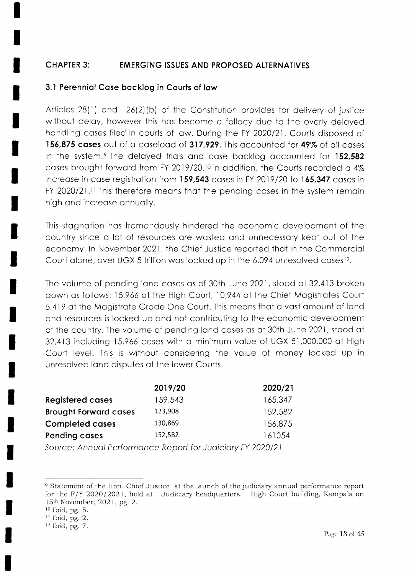#### **CHAPTER 3: EMERGING ISSUES AND PROPOSED ALTERNATIVES**

#### 3.1 Perennial Case backlog in Courts of law

Articles 28(1) and 126(2)(b) of the Constitution provides for delivery of justice without delay, however this has become a fallacy due to the overly delayed handling cases filed in courts of law. During the FY 2020/21, Courts disposed of 156,875 cases out of a caseload of 317,929. This accounted for 49% of all cases in the system.<sup>9</sup> The delayed trials and case backlog accounted for 152,582 cases brought forward from FY 2019/20.<sup>10</sup> In addition, the Courts recorded a 4% increase in case registration from 159,543 cases in FY 2019/20 to 165,347 cases in FY 2020/21.<sup>11</sup> This therefore means that the pending cases in the system remain high and increase annually.

This stagnation has tremendously hindered the economic development of the country since a lot of resources are wasted and unnecessary kept out of the economy. In November 2021, the Chief Justice reported that in the Commercial Court alone, over UGX 5 trillion was locked up in the 6,094 unresolved cases<sup>12</sup>.

The volume of pending land cases as of 30th June 2021, stood at 32,413 broken down as follows: 15,966 at the High Court, 10,944 at the Chief Magistrates Court 5,419 at the Magistrate Grade One Court. This means that a vast amount of land and resources is locked up and not contributing to the economic development of the country. The volume of pending land cases as at 30th June 2021, stood at 32,413 including 15,966 cases with a minimum value of UGX 51,000,000 at High Court level. This is without considering the value of money locked up in unresolved land disputes at the lower Courts.

| 2019/20 | 2020/21 |
|---------|---------|
| 159,543 | 165,347 |
| 123,908 | 152,582 |
| 130,869 | 156,875 |
| 152,582 | 161054  |
|         |         |

Source: Annual Performance Report for Judiciary FY 2020/21

<sup>&</sup>lt;sup>9</sup> Statement of the Hon. Chief Justice at the launch of the judiciary annual performance report for the F/Y 2020/2021, held at Judiciary headquarters, High Court building, Kampala on 15<sup>th</sup> November, 2021, pg. 2.

<sup>&</sup>lt;sup>10</sup> Ibid, pg. 5.

<sup>&</sup>lt;sup>11</sup> Ibid, pg. 2.

<sup>&</sup>lt;sup>12</sup> Ibid, pg. 7.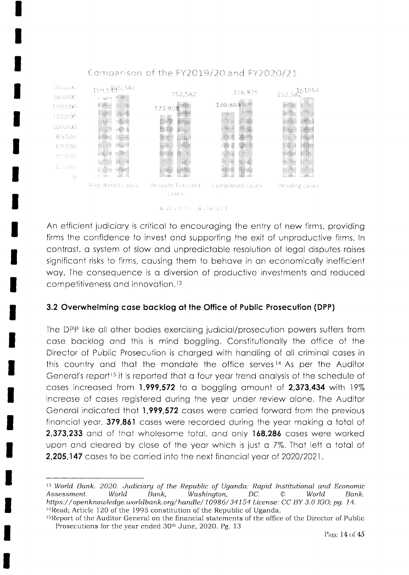

#### Comparison of the FY2019/20 and FY2020/21

m 2019, 2011 a 7020/21

An efficient judiciary is critical to encouraging the entry of new firms, providing firms the confidence to invest and supporting the exit of unproductive firms. In contrast, a system of slow and unpredictable resolution of legal disputes raises significant risks to firms, causing them to behave in an economically inefficient way. The consequence is a diversion of productive investments and reduced competitiveness and innovation.<sup>13</sup>

#### 3.2 Overwhelming case backlog at the Office of Public Prosecution (DPP)

The DPP like all other bodies exercising judicial/prosecution powers suffers from case backlog and this is mind boggling. Constitutionally the office of the Director of Public Prosecution is charged with handling of all criminal cases in this country and that the mandate the office serves<sup>14</sup> As per the Auditor General's report<sup>15</sup> it is reported that a four year trend analysis of the schedule of cases increased from 1,999,572 to a boggling amount of 2,373,434 with 19% increase of cases registered during the year under review alone. The Auditor General indicated that 1,999,572 cases were carried forward from the previous financial year, 379,861 cases were recorded during the year making a total of 2,373,233 and of that wholesome total, and only 168,286 cases were worked upon and cleared by close of the year which is just a 7%. That left a total of 2,205,147 cases to be carried into the next financial year of 2020/2021.

<sup>&</sup>lt;sup>13</sup> World Bank. 2020. Judiciary of the Republic of Uganda: Rapid Institutional and Economic Assessment. World Bank, Washington, DC.  $\circled{c}$ Bank. World https://openknowledge.worldbank.org/handle/10986/34154 License: CC BY 3.0 IGO; pg. 14. <sup>14</sup>Read; Article 120 of the 1995 constitution of the Republic of Uganda.

<sup>&</sup>lt;sup>15</sup>Report of the Auditor General on the financial statements of the office of the Director of Public Prosecutions for the year ended 30<sup>th</sup> June, 2020. Pg. 13